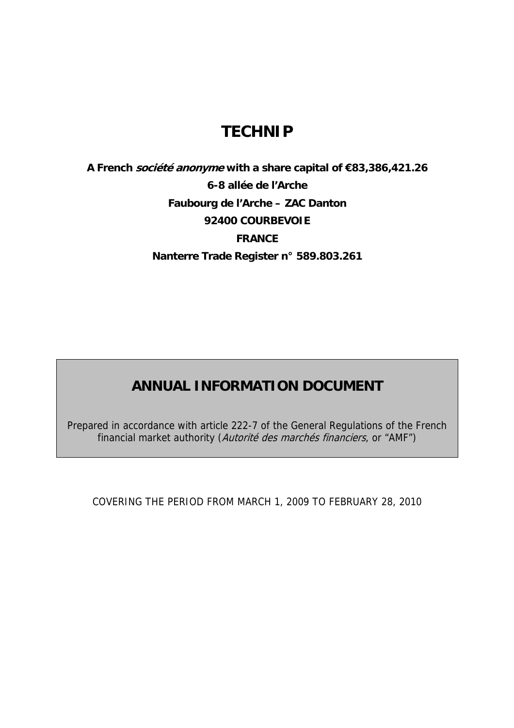## **TECHNIP**

**A French société anonyme with a share capital of €83,386,421.26 6-8 allée de l'Arche Faubourg de l'Arche – ZAC Danton 92400 COURBEVOIE FRANCE Nanterre Trade Register n° 589.803.261** 

## **ANNUAL INFORMATION DOCUMENT**

Prepared in accordance with article 222-7 of the General Regulations of the French financial market authority (Autorité des marchés financiers, or "AMF")

COVERING THE PERIOD FROM MARCH 1, 2009 TO FEBRUARY 28, 2010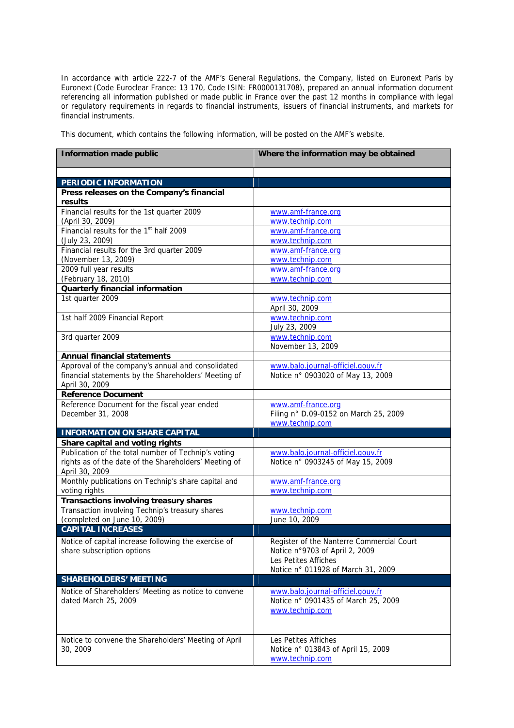In accordance with article 222-7 of the AMF's General Regulations, the Company, listed on Euronext Paris by Euronext (Code Euroclear France: 13 170, Code ISIN: FR0000131708), prepared an annual information document referencing all information published or made public in France over the past 12 months in compliance with legal or regulatory requirements in regards to financial instruments, issuers of financial instruments, and markets for financial instruments.

This document, which contains the following information, will be posted on the AMF's website.

| <b>Information made public</b>                           | Where the information may be obtained                    |
|----------------------------------------------------------|----------------------------------------------------------|
| PERIODIC INFORMATION                                     |                                                          |
| Press releases on the Company's financial                |                                                          |
| results                                                  |                                                          |
| Financial results for the 1st quarter 2009               | www.amf-france.org                                       |
| (April 30, 2009)                                         | www.technip.com                                          |
| Financial results for the 1 <sup>st</sup> half 2009      | www.amf-france.org                                       |
| (July 23, 2009)                                          | www.technip.com                                          |
| Financial results for the 3rd quarter 2009               | www.amf-france.org                                       |
| (November 13, 2009)                                      | www.technip.com                                          |
| 2009 full year results                                   | www.amf-france.org                                       |
| (February 18, 2010)                                      | www.technip.com                                          |
| <b>Quarterly financial information</b>                   |                                                          |
| 1st quarter 2009                                         | www.technip.com<br>April 30, 2009                        |
| 1st half 2009 Financial Report                           | www.technip.com                                          |
|                                                          | July 23, 2009                                            |
| 3rd quarter 2009                                         | www.technip.com                                          |
|                                                          | November 13, 2009                                        |
| <b>Annual financial statements</b>                       |                                                          |
| Approval of the company's annual and consolidated        | www.balo.journal-officiel.gouv.fr                        |
| financial statements by the Shareholders' Meeting of     | Notice n° 0903020 of May 13, 2009                        |
| April 30, 2009                                           |                                                          |
| <b>Reference Document</b>                                |                                                          |
| Reference Document for the fiscal year ended             | www.amf-france.org                                       |
| December 31, 2008                                        | Filing n° D.09-0152 on March 25, 2009<br>www.technip.com |
| <b>INFORMATION ON SHARE CAPITAL</b>                      |                                                          |
| Share capital and voting rights                          |                                                          |
| Publication of the total number of Technip's voting      | www.balo.journal-officiel.gouv.fr                        |
| rights as of the date of the Shareholders' Meeting of    | Notice n° 0903245 of May 15, 2009                        |
| April 30, 2009                                           |                                                          |
| Monthly publications on Technip's share capital and      | www.amf-france.org                                       |
| voting rights                                            | www.technip.com                                          |
| <b>Transactions involving treasury shares</b>            |                                                          |
| Transaction involving Technip's treasury shares          | www.technip.com                                          |
| (completed on June 10, 2009)<br><b>CAPITAL INCREASES</b> | June 10, 2009                                            |
|                                                          |                                                          |
| Notice of capital increase following the exercise of     | Register of the Nanterre Commercial Court                |
| share subscription options                               | Notice n°9703 of April 2, 2009<br>Les Petites Affiches   |
|                                                          | Notice n° 011928 of March 31, 2009                       |
| <b>SHAREHOLDERS' MEETING</b>                             |                                                          |
| Notice of Shareholders' Meeting as notice to convene     | www.balo.journal-officiel.gouv.fr                        |
| dated March 25, 2009                                     | Notice n° 0901435 of March 25, 2009                      |
|                                                          | www.technip.com                                          |
|                                                          |                                                          |
|                                                          |                                                          |
| Notice to convene the Shareholders' Meeting of April     | Les Petites Affiches                                     |
| 30, 2009                                                 | Notice n° 013843 of April 15, 2009                       |
|                                                          | www.technip.com                                          |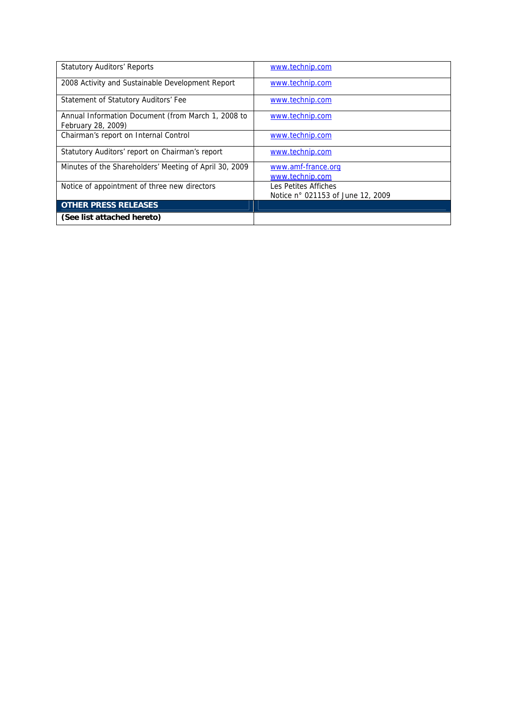| <b>Statutory Auditors' Reports</b>                                       | www.technip.com                                           |
|--------------------------------------------------------------------------|-----------------------------------------------------------|
| 2008 Activity and Sustainable Development Report                         | www.technip.com                                           |
| Statement of Statutory Auditors' Fee                                     | www.technip.com                                           |
| Annual Information Document (from March 1, 2008 to<br>February 28, 2009) | www.technip.com                                           |
| Chairman's report on Internal Control                                    | www.technip.com                                           |
| Statutory Auditors' report on Chairman's report                          | www.technip.com                                           |
| Minutes of the Shareholders' Meeting of April 30, 2009                   | www.amf-france.org<br>www.technip.com                     |
| Notice of appointment of three new directors                             | Les Petites Affiches<br>Notice n° 021153 of June 12, 2009 |
| <b>OTHER PRESS RELEASES</b>                                              |                                                           |
| (See list attached hereto)                                               |                                                           |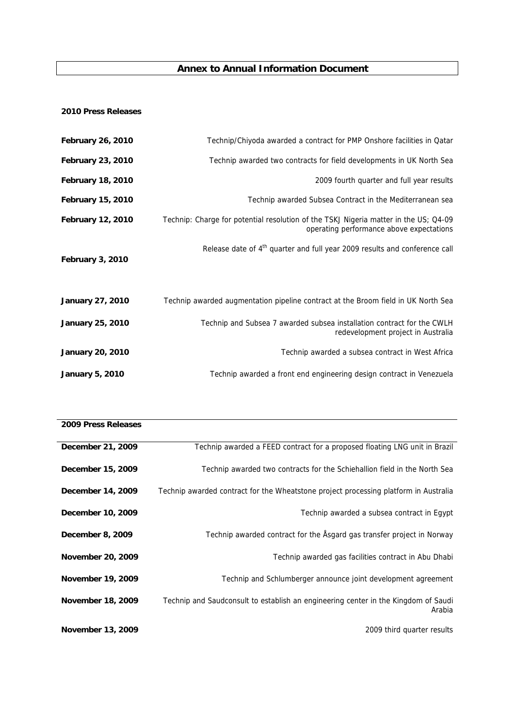## **Annex to Annual Information Document**

## **2010 Press Releases**

| <b>February 26, 2010</b> | Technip/Chiyoda awarded a contract for PMP Onshore facilities in Qatar                                                           |
|--------------------------|----------------------------------------------------------------------------------------------------------------------------------|
| <b>February 23, 2010</b> | Technip awarded two contracts for field developments in UK North Sea                                                             |
| <b>February 18, 2010</b> | 2009 fourth quarter and full year results                                                                                        |
| <b>February 15, 2010</b> | Technip awarded Subsea Contract in the Mediterranean sea                                                                         |
| <b>February 12, 2010</b> | Technip: Charge for potential resolution of the TSKJ Nigeria matter in the US; Q4-09<br>operating performance above expectations |
| February 3, 2010         | Release date of 4 <sup>th</sup> quarter and full year 2009 results and conference call                                           |
| <b>January 27, 2010</b>  | Technip awarded augmentation pipeline contract at the Broom field in UK North Sea                                                |
| <b>January 25, 2010</b>  | Technip and Subsea 7 awarded subsea installation contract for the CWLH<br>redevelopment project in Australia                     |
| <b>January 20, 2010</b>  | Technip awarded a subsea contract in West Africa                                                                                 |
| <b>January 5, 2010</b>   | Technip awarded a front end engineering design contract in Venezuela                                                             |

| 2009 Press Releases |                                                                                              |
|---------------------|----------------------------------------------------------------------------------------------|
| December 21, 2009   | Technip awarded a FEED contract for a proposed floating LNG unit in Brazil                   |
| December 15, 2009   | Technip awarded two contracts for the Schiehallion field in the North Sea                    |
| December 14, 2009   | Technip awarded contract for the Wheatstone project processing platform in Australia         |
| December 10, 2009   | Technip awarded a subsea contract in Egypt                                                   |
| December 8, 2009    | Technip awarded contract for the Åsgard gas transfer project in Norway                       |
| November 20, 2009   | Technip awarded gas facilities contract in Abu Dhabi                                         |
| November 19, 2009   | Technip and Schlumberger announce joint development agreement                                |
| November 18, 2009   | Technip and Saudconsult to establish an engineering center in the Kingdom of Saudi<br>Arabia |
| November 13, 2009   | 2009 third quarter results                                                                   |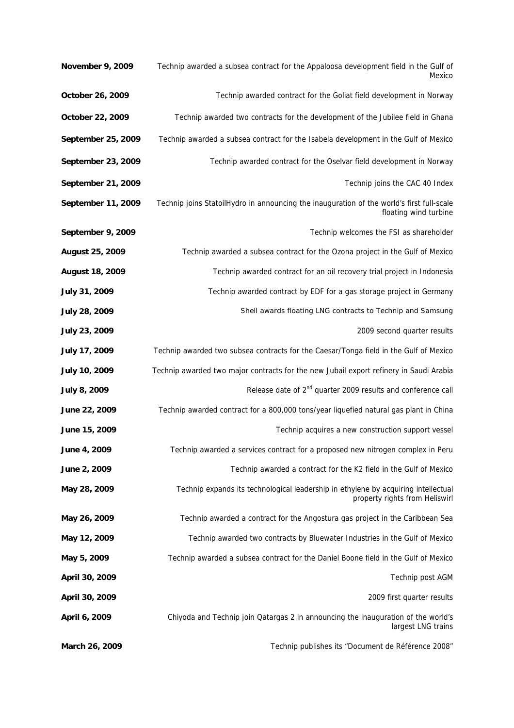| <b>November 9, 2009</b> | Technip awarded a subsea contract for the Appaloosa development field in the Gulf of<br>Mexico                       |
|-------------------------|----------------------------------------------------------------------------------------------------------------------|
| October 26, 2009        | Technip awarded contract for the Goliat field development in Norway                                                  |
| October 22, 2009        | Technip awarded two contracts for the development of the Jubilee field in Ghana                                      |
| September 25, 2009      | Technip awarded a subsea contract for the Isabela development in the Gulf of Mexico                                  |
| September 23, 2009      | Technip awarded contract for the Oselvar field development in Norway                                                 |
| September 21, 2009      | Technip joins the CAC 40 Index                                                                                       |
| September 11, 2009      | Technip joins StatoilHydro in announcing the inauguration of the world's first full-scale<br>floating wind turbine   |
| September 9, 2009       | Technip welcomes the FSI as shareholder                                                                              |
| August 25, 2009         | Technip awarded a subsea contract for the Ozona project in the Gulf of Mexico                                        |
| <b>August 18, 2009</b>  | Technip awarded contract for an oil recovery trial project in Indonesia                                              |
| July 31, 2009           | Technip awarded contract by EDF for a gas storage project in Germany                                                 |
| July 28, 2009           | Shell awards floating LNG contracts to Technip and Samsung                                                           |
| July 23, 2009           | 2009 second quarter results                                                                                          |
| July 17, 2009           | Technip awarded two subsea contracts for the Caesar/Tonga field in the Gulf of Mexico                                |
| July 10, 2009           | Technip awarded two major contracts for the new Jubail export refinery in Saudi Arabia                               |
| July 8, 2009            | Release date of 2 <sup>nd</sup> quarter 2009 results and conference call                                             |
| June 22, 2009           | Technip awarded contract for a 800,000 tons/year liquefied natural gas plant in China                                |
| June 15, 2009           | Technip acquires a new construction support vessel                                                                   |
| June 4, 2009            | Technip awarded a services contract for a proposed new nitrogen complex in Peru                                      |
| June 2, 2009            | Technip awarded a contract for the K2 field in the Gulf of Mexico                                                    |
| May 28, 2009            | Technip expands its technological leadership in ethylene by acquiring intellectual<br>property rights from Heliswirl |
| May 26, 2009            | Technip awarded a contract for the Angostura gas project in the Caribbean Sea                                        |
| May 12, 2009            | Technip awarded two contracts by Bluewater Industries in the Gulf of Mexico                                          |
| May 5, 2009             | Technip awarded a subsea contract for the Daniel Boone field in the Gulf of Mexico                                   |
| April 30, 2009          | Technip post AGM                                                                                                     |
| April 30, 2009          | 2009 first quarter results                                                                                           |
| April 6, 2009           | Chiyoda and Technip join Qatargas 2 in announcing the inauguration of the world's<br>largest LNG trains              |
| March 26, 2009          | Technip publishes its "Document de Référence 2008"                                                                   |